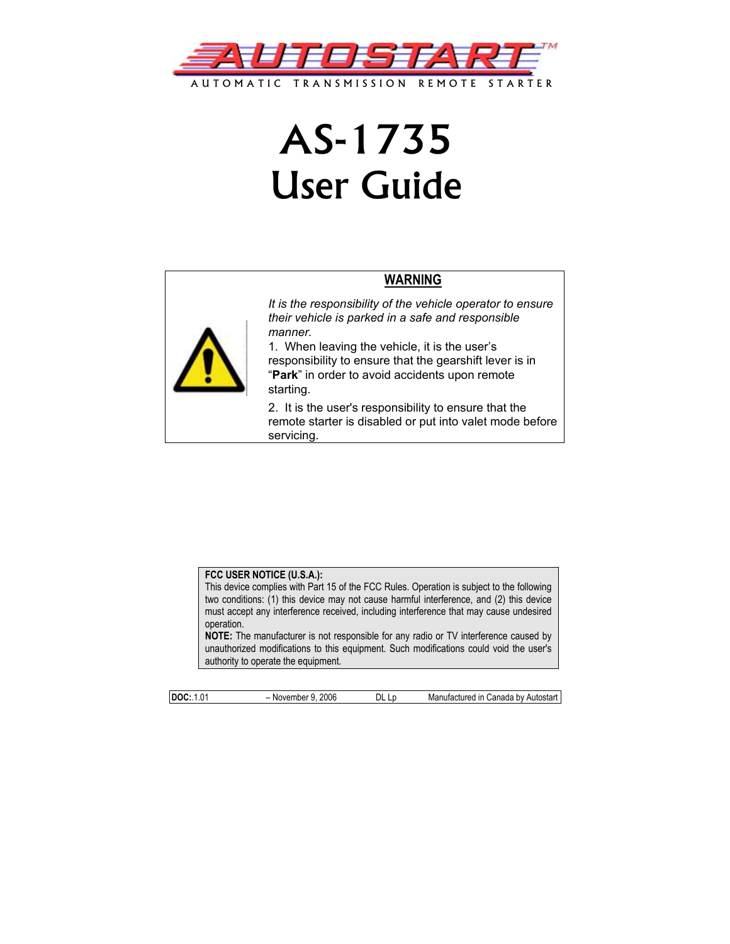

# AS-1735 User Guide





*It is the responsibility of the vehicle operator to ensure their vehicle is parked in a safe and responsible manner.* 

1. When leaving the vehicle, it is the user's responsibility to ensure that the gearshift lever is in "**Park**" in order to avoid accidents upon remote starting.

2. It is the user's responsibility to ensure that the remote starter is disabled or put into valet mode before servicing.

#### **FCC USER NOTICE (U.S.A.):**

This device complies with Part 15 of the FCC Rules. Operation is subject to the following two conditions: (1) this device may not cause harmful interference, and (2) this device must accept any interference received, including interference that may cause undesired operation.

**NOTE:** The manufacturer is not responsible for any radio or TV interference caused by unauthorized modifications to this equipment. Such modifications could void the user's authority to operate the equipment.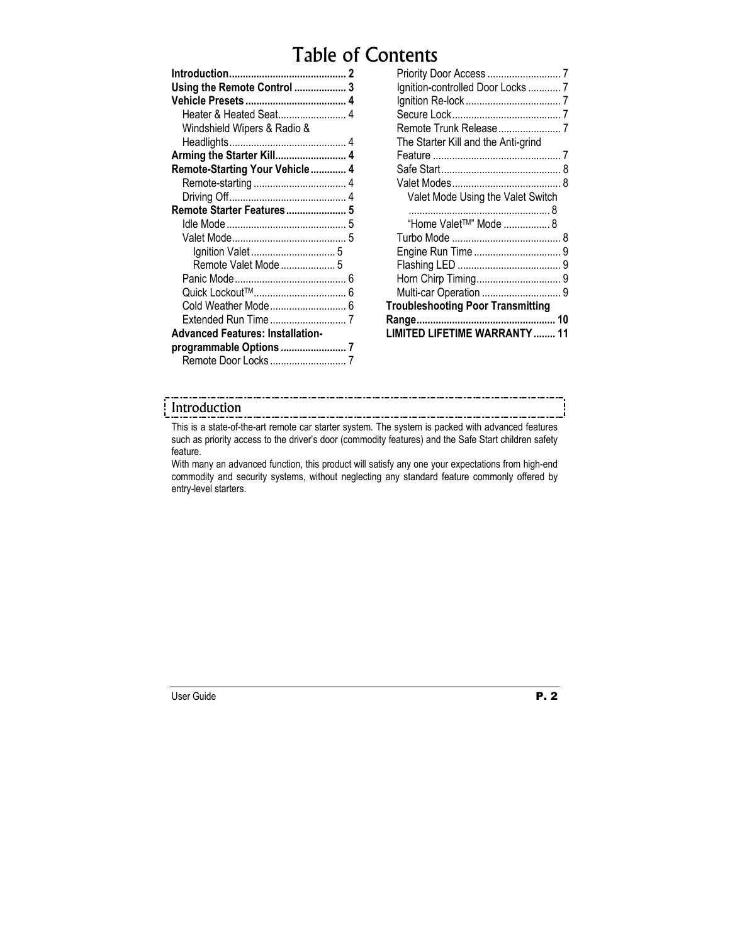# Table of Contents

| Using the Remote Control  3             |  |
|-----------------------------------------|--|
|                                         |  |
| Heater & Heated Seat 4                  |  |
| Windshield Wipers & Radio &             |  |
|                                         |  |
| Arming the Starter Kill 4               |  |
| Remote-Starting Your Vehicle 4          |  |
|                                         |  |
|                                         |  |
| Remote Starter Features 5               |  |
|                                         |  |
|                                         |  |
|                                         |  |
| Remote Valet Mode  5                    |  |
|                                         |  |
|                                         |  |
|                                         |  |
|                                         |  |
| <b>Advanced Features: Installation-</b> |  |
|                                         |  |
|                                         |  |

| Ignition-controlled Door Locks  7        |   |
|------------------------------------------|---|
|                                          |   |
|                                          |   |
| Remote Trunk Release7                    |   |
| The Starter Kill and the Anti-grind      |   |
|                                          |   |
|                                          | 8 |
|                                          | 8 |
| Valet Mode Using the Valet Switch        |   |
|                                          |   |
| "Home Valet™" Mode 8                     |   |
|                                          |   |
|                                          |   |
|                                          |   |
|                                          |   |
|                                          |   |
| <b>Troubleshooting Poor Transmitting</b> |   |
|                                          |   |
| <b>ED LIFETIME WARRANTY</b>              |   |
|                                          |   |

#### Introduction

This is a state-of-the-art remote car starter system. The system is packed with advanced features such as priority access to the driver's door (commodity features) and the Safe Start children safety feature.

With many an advanced function, this product will satisfy any one your expectations from high-end commodity and security systems, without neglecting any standard feature commonly offered by entry-level starters.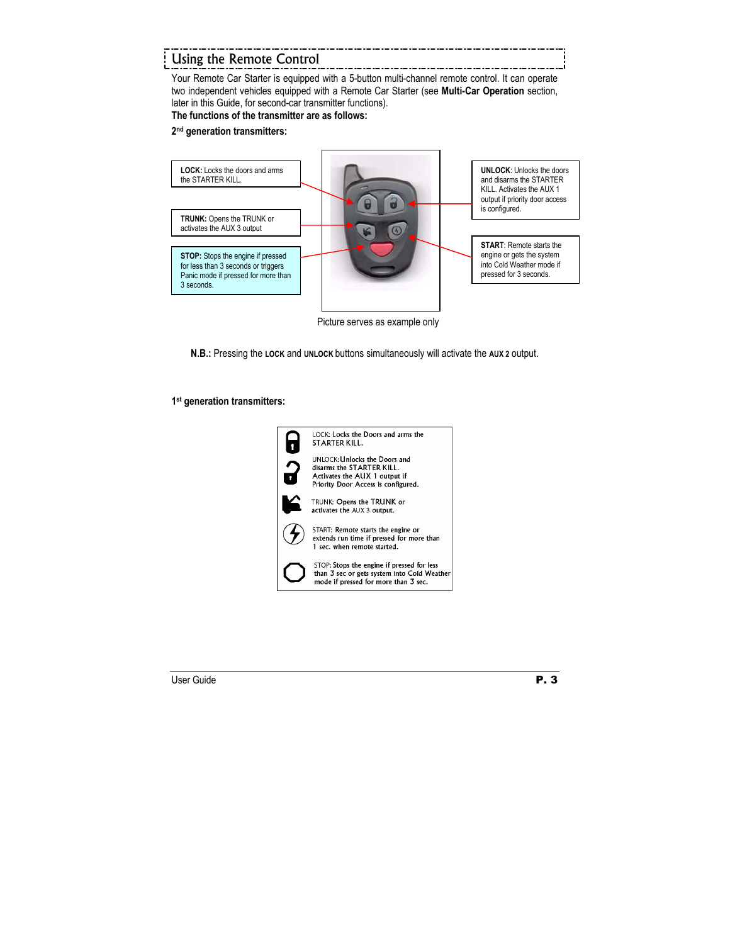# Using the Remote Control

Your Remote Car Starter is equipped with a 5-button multi-channel remote control. It can operate two independent vehicles equipped with a Remote Car Starter (see **Multi-Car Operation** section, later in this Guide, for second-car transmitter functions).

#### **The functions of the transmitter are as follows:**

#### **2nd generation transmitters:**



Picture serves as example only

**N.B.:** Pressing the **LOCK** and **UNLOCK** buttons simultaneously will activate the **AUX 2** output.

#### **1st generation transmitters:**

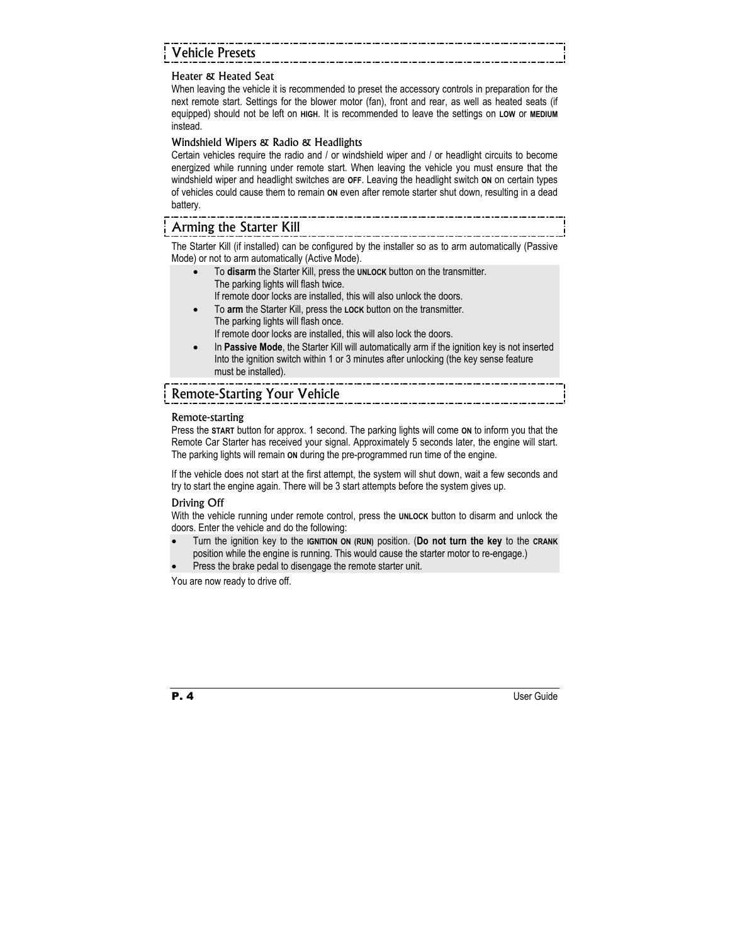# Vehicle Presets

#### Heater & Heated Seat

When leaving the vehicle it is recommended to preset the accessory controls in preparation for the next remote start. Settings for the blower motor (fan), front and rear, as well as heated seats (if equipped) should not be left on **HIGH**. It is recommended to leave the settings on **LOW** or **MEDIUM** instead.

#### Windshield Wipers & Radio & Headlights

Certain vehicles require the radio and / or windshield wiper and / or headlight circuits to become energized while running under remote start. When leaving the vehicle you must ensure that the windshield wiper and headlight switches are **OFF**. Leaving the headlight switch **ON** on certain types of vehicles could cause them to remain **ON** even after remote starter shut down, resulting in a dead battery.

### Arming the Starter Kill

The Starter Kill (if installed) can be configured by the installer so as to arm automatically (Passive Mode) or not to arm automatically (Active Mode).

- To **disarm** the Starter Kill, press the **UNLOCK** button on the transmitter. The parking lights will flash twice. If remote door locks are installed, this will also unlock the doors.
- To **arm** the Starter Kill, press the **LOCK** button on the transmitter. The parking lights will flash once.

If remote door locks are installed, this will also lock the doors.

• In **Passive Mode**, the Starter Kill will automatically arm if the ignition key is not inserted Into the ignition switch within 1 or 3 minutes after unlocking (the key sense feature must be installed).

# Remote-Starting Your Vehicle

#### Remote-starting

Press the **START** button for approx. 1 second. The parking lights will come **ON** to inform you that the Remote Car Starter has received your signal. Approximately 5 seconds later, the engine will start. The parking lights will remain **ON** during the pre-programmed run time of the engine.

If the vehicle does not start at the first attempt, the system will shut down, wait a few seconds and try to start the engine again. There will be 3 start attempts before the system gives up.

#### Driving Off

With the vehicle running under remote control, press the **UNLOCK** button to disarm and unlock the doors. Enter the vehicle and do the following:

- Turn the ignition key to the **IGNITION ON (RUN)** position. (**Do not turn the key** to the **CRANK** position while the engine is running. This would cause the starter motor to re-engage.)
- Press the brake pedal to disengage the remote starter unit.

You are now ready to drive off.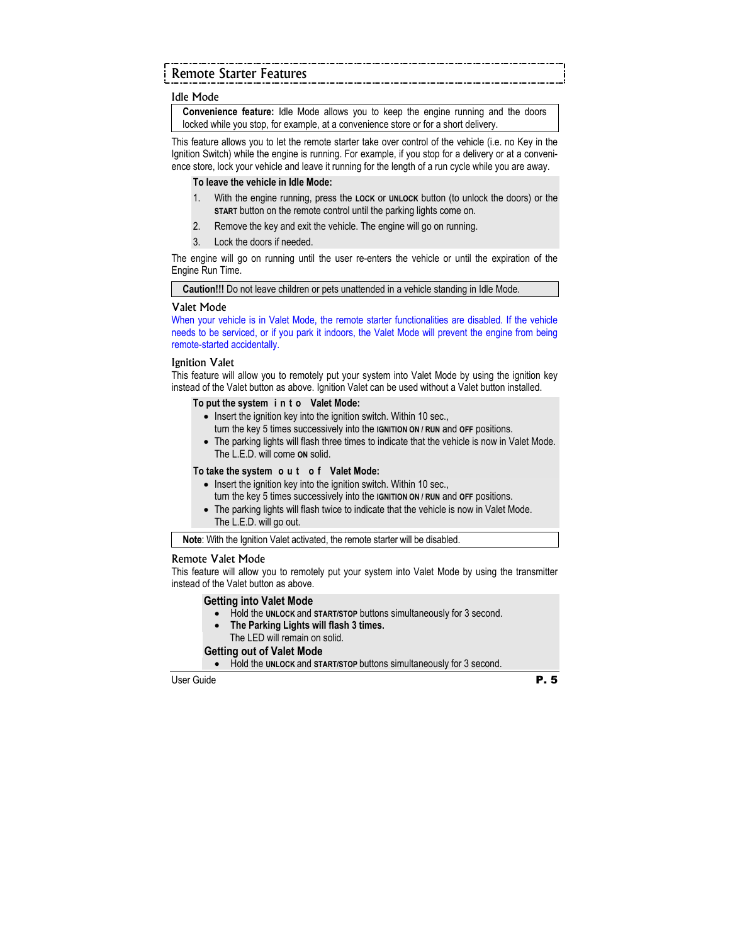# Remote Starter Features

#### Idle Mode

**Convenience feature:** Idle Mode allows you to keep the engine running and the doors locked while you stop, for example, at a convenience store or for a short delivery.

This feature allows you to let the remote starter take over control of the vehicle (i.e. no Key in the Ignition Switch) while the engine is running. For example, if you stop for a delivery or at a convenience store, lock your vehicle and leave it running for the length of a run cycle while you are away.

#### **To leave the vehicle in Idle Mode:**

- 1. With the engine running, press the **LOCK** or **UNLOCK** button (to unlock the doors) or the **START** button on the remote control until the parking lights come on.
- 2. Remove the key and exit the vehicle. The engine will go on running.
- 3. Lock the doors if needed.

The engine will go on running until the user re-enters the vehicle or until the expiration of the Engine Run Time.

**Caution!!!** Do not leave children or pets unattended in a vehicle standing in Idle Mode.

#### Valet Mode

When your vehicle is in Valet Mode, the remote starter functionalities are disabled. If the vehicle needs to be serviced, or if you park it indoors, the Valet Mode will prevent the engine from being remote-started accidentally.

#### Ignition Valet

This feature will allow you to remotely put your system into Valet Mode by using the ignition key instead of the Valet button as above. Ignition Valet can be used without a Valet button installed.

#### **To put the system i n t o Valet Mode:**

- Insert the ignition key into the ignition switch. Within 10 sec., turn the key 5 times successively into the **IGNITION ON / RUN** and **OFF** positions.
- The parking lights will flash three times to indicate that the vehicle is now in Valet Mode. The L.E.D. will come **ON** solid.

#### **To take the system o u t o f Valet Mode:**

- Insert the ignition key into the ignition switch. Within 10 sec., turn the key 5 times successively into the **IGNITION ON / RUN** and **OFF** positions.
- The parking lights will flash twice to indicate that the vehicle is now in Valet Mode. The L.E.D. will go out.

**Note**: With the Ignition Valet activated, the remote starter will be disabled.

#### Remote Valet Mode

This feature will allow you to remotely put your system into Valet Mode by using the transmitter instead of the Valet button as above.

#### **Getting into Valet Mode**

- Hold the **UNLOCK** and **START/STOP** buttons simultaneously for 3 second.
- **The Parking Lights will flash 3 times.**  The LED will remain on solid.

#### **Getting out of Valet Mode**

• Hold the **UNLOCK** and **START/STOP** buttons simultaneously for 3 second.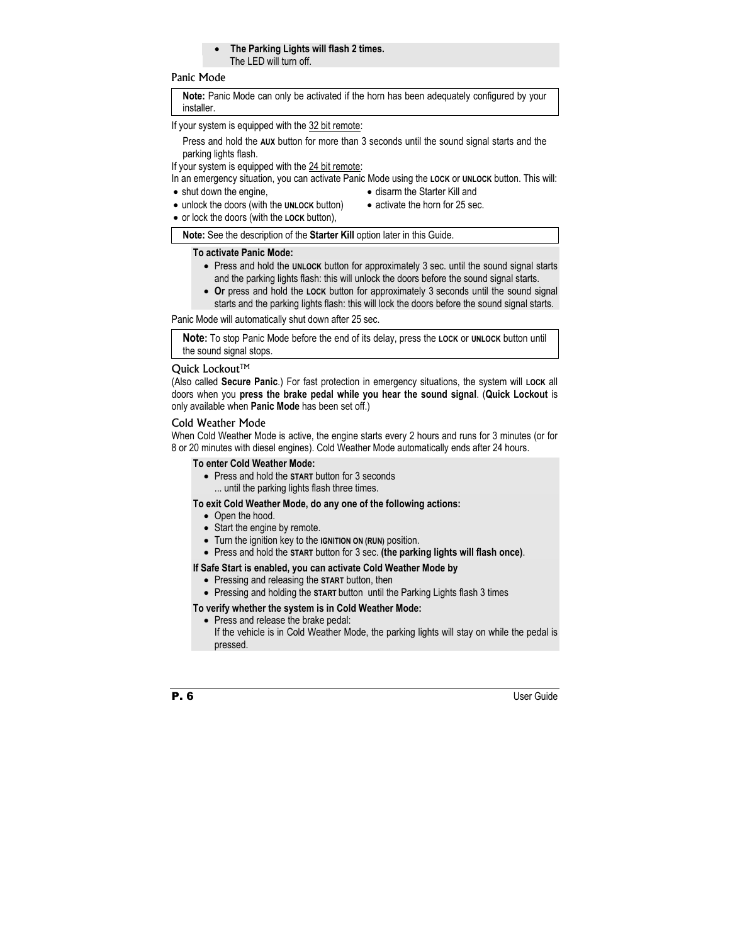#### • **The Parking Lights will flash 2 times.**  The LED will turn off.

#### Panic Mode

**Note:** Panic Mode can only be activated if the horn has been adequately configured by your installer.

If your system is equipped with the 32 bit remote:

Press and hold the **AUX** button for more than 3 seconds until the sound signal starts and the parking lights flash.

If your system is equipped with the 24 bit remote:

In an emergency situation, you can activate Panic Mode using the **LOCK** or **UNLOCK** button. This will:

• shut down the engine.

- disarm the Starter Kill and
- unlock the doors (with the **UNLOCK** button)
- activate the horn for 25 sec.
- or lock the doors (with the **LOCK** button),

**Note:** See the description of the **Starter Kill** option later in this Guide.

#### **To activate Panic Mode:**

- Press and hold the **UNLOCK** button for approximately 3 sec. until the sound signal starts and the parking lights flash: this will unlock the doors before the sound signal starts.
- **Or** press and hold the **LOCK** button for approximately 3 seconds until the sound signal starts and the parking lights flash: this will lock the doors before the sound signal starts.

Panic Mode will automatically shut down after 25 sec.

**Note:** To stop Panic Mode before the end of its delay, press the **LOCK** or **UNLOCK** button until the sound signal stops.

#### Ouick Lockout™

(Also called **Secure Panic**.) For fast protection in emergency situations, the system will **LOCK** all doors when you **press the brake pedal while you hear the sound signal**. (**Quick Lockout** is only available when **Panic Mode** has been set off.)

#### Cold Weather Mode

When Cold Weather Mode is active, the engine starts every 2 hours and runs for 3 minutes (or for 8 or 20 minutes with diesel engines). Cold Weather Mode automatically ends after 24 hours.

#### **To enter Cold Weather Mode:**

• Press and hold the **START** button for 3 seconds ... until the parking lights flash three times.

#### **To exit Cold Weather Mode, do any one of the following actions:**

- Open the hood.
- Start the engine by remote.
- Turn the ignition key to the **IGNITION ON (RUN)** position.
- Press and hold the **START** button for 3 sec. **(the parking lights will flash once)**.

#### **If Safe Start is enabled, you can activate Cold Weather Mode by**

- Pressing and releasing the **START** button, then
- Pressing and holding the **START** button until the Parking Lights flash 3 times

#### **To verify whether the system is in Cold Weather Mode:**

• Press and release the brake pedal: If the vehicle is in Cold Weather Mode, the parking lights will stay on while the pedal is pressed.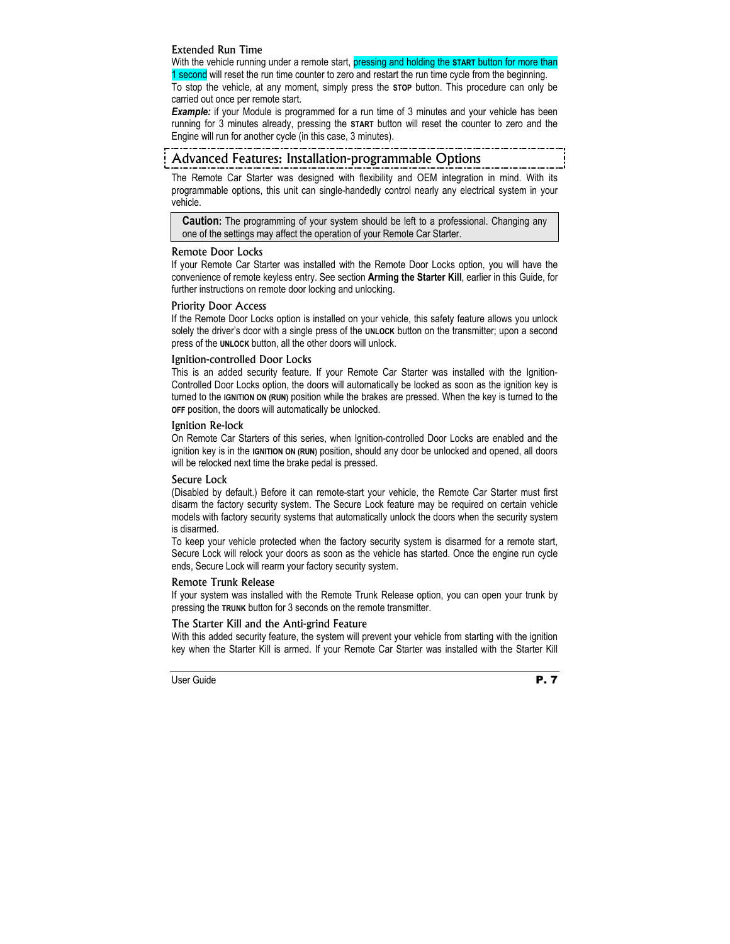#### Extended Run Time

With the vehicle running under a remote start, pressing and holding the **START** button for more than 1 second will reset the run time counter to zero and restart the run time cycle from the beginning. To stop the vehicle, at any moment, simply press the **STOP** button. This procedure can only be carried out once per remote start.

**Example:** if your Module is programmed for a run time of 3 minutes and your vehicle has been running for 3 minutes already, pressing the **START** button will reset the counter to zero and the Engine will run for another cycle (in this case, 3 minutes).

## Advanced Features: Installation-programmable Options

The Remote Car Starter was designed with flexibility and OEM integration in mind. With its programmable options, this unit can single-handedly control nearly any electrical system in your vehicle.

**Caution:** The programming of your system should be left to a professional. Changing any one of the settings may affect the operation of your Remote Car Starter.

#### Remote Door Locks

If your Remote Car Starter was installed with the Remote Door Locks option, you will have the convenience of remote keyless entry. See section **Arming the Starter Kill**, earlier in this Guide, for further instructions on remote door locking and unlocking.

#### Priority Door Access

If the Remote Door Locks option is installed on your vehicle, this safety feature allows you unlock solely the driver's door with a single press of the **UNLOCK** button on the transmitter; upon a second press of the **UNLOCK** button, all the other doors will unlock.

#### Ignition-controlled Door Locks

This is an added security feature. If your Remote Car Starter was installed with the Ignition-Controlled Door Locks option, the doors will automatically be locked as soon as the ignition key is turned to the **IGNITION ON (RUN)** position while the brakes are pressed. When the key is turned to the **OFF** position, the doors will automatically be unlocked.

#### Ignition Re-lock

On Remote Car Starters of this series, when Ignition-controlled Door Locks are enabled and the ignition key is in the **IGNITION ON (RUN)** position, should any door be unlocked and opened, all doors will be relocked next time the brake pedal is pressed.

#### Secure Lock

(Disabled by default.) Before it can remote-start your vehicle, the Remote Car Starter must first disarm the factory security system. The Secure Lock feature may be required on certain vehicle models with factory security systems that automatically unlock the doors when the security system is disarmed.

To keep your vehicle protected when the factory security system is disarmed for a remote start, Secure Lock will relock your doors as soon as the vehicle has started. Once the engine run cycle ends, Secure Lock will rearm your factory security system.

#### Remote Trunk Release

If your system was installed with the Remote Trunk Release option, you can open your trunk by pressing the **TRUNK** button for 3 seconds on the remote transmitter.

#### The Starter Kill and the Anti-grind Feature

With this added security feature, the system will prevent your vehicle from starting with the ignition key when the Starter Kill is armed. If your Remote Car Starter was installed with the Starter Kill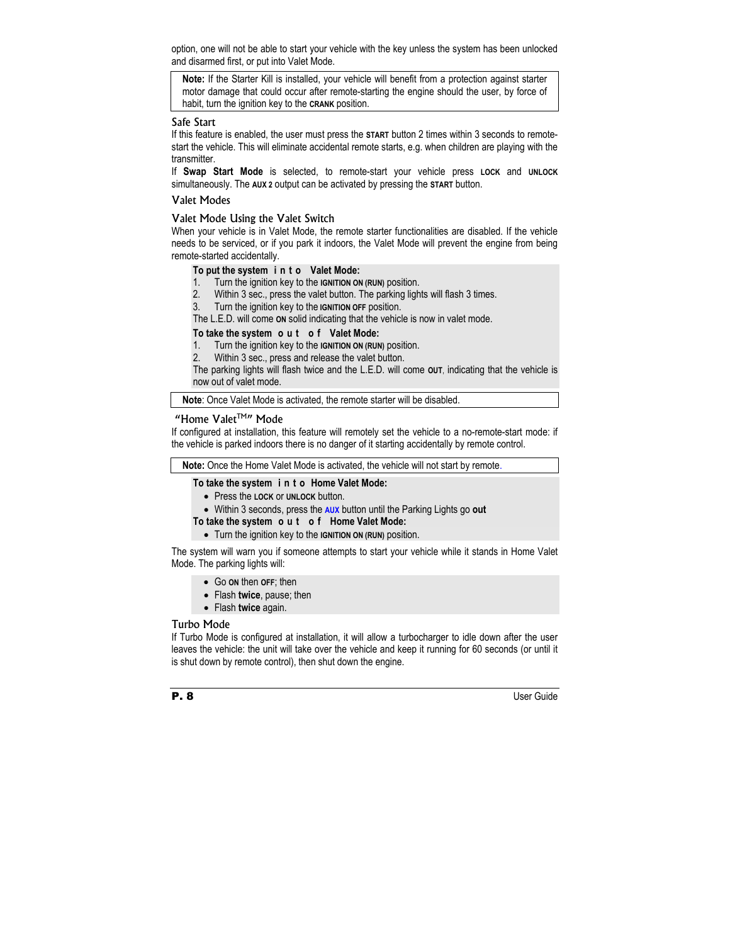option, one will not be able to start your vehicle with the key unless the system has been unlocked and disarmed first, or put into Valet Mode.

**Note:** If the Starter Kill is installed, your vehicle will benefit from a protection against starter motor damage that could occur after remote-starting the engine should the user, by force of habit, turn the ignition key to the **CRANK** position.

#### Safe Start

If this feature is enabled, the user must press the **START** button 2 times within 3 seconds to remotestart the vehicle. This will eliminate accidental remote starts, e.g. when children are playing with the transmitter.

If **Swap Start Mode** is selected, to remote-start your vehicle press **LOCK** and **UNLOCK** simultaneously. The **AUX 2** output can be activated by pressing the **START** button.

#### Valet Modes

#### Valet Mode Using the Valet Switch

When your vehicle is in Valet Mode, the remote starter functionalities are disabled. If the vehicle needs to be serviced, or if you park it indoors, the Valet Mode will prevent the engine from being remote-started accidentally.

#### **To put the system i n t o Valet Mode:**

- 1. Turn the ignition key to the **IGNITION ON (RUN)** position.
- 2. Within 3 sec., press the valet button. The parking lights will flash 3 times.
- 3. Turn the ignition key to the **IGNITION OFF** position.

The L.E.D. will come **ON** solid indicating that the vehicle is now in valet mode.

#### **To take the system o u t o f Valet Mode:**

- 1. Turn the ignition key to the **IGNITION ON (RUN)** position.
- 2. Within 3 sec., press and release the valet button.

The parking lights will flash twice and the L.E.D. will come **OUT**, indicating that the vehicle is now out of valet mode.

**Note**: Once Valet Mode is activated, the remote starter will be disabled.

#### "Home Valet<sup>™</sup>" Mode

If configured at installation, this feature will remotely set the vehicle to a no-remote-start mode: if the vehicle is parked indoors there is no danger of it starting accidentally by remote control.

**Note:** Once the Home Valet Mode is activated, the vehicle will not start by remote.

#### **To take the system i n t o Home Valet Mode:**

- Press the **LOCK** or **UNLOCK** button.
- Within 3 seconds, press the **AUX** button until the Parking Lights go **out**

#### **To take the system o u t o f Home Valet Mode:**

• Turn the ignition key to the **IGNITION ON (RUN)** position.

The system will warn you if someone attempts to start your vehicle while it stands in Home Valet Mode. The parking lights will:

- Go **ON** then **OFF**; then
- Flash **twice**, pause; then
- Flash **twice** again.

#### Turbo Mode

If Turbo Mode is configured at installation, it will allow a turbocharger to idle down after the user leaves the vehicle: the unit will take over the vehicle and keep it running for 60 seconds (or until it is shut down by remote control), then shut down the engine.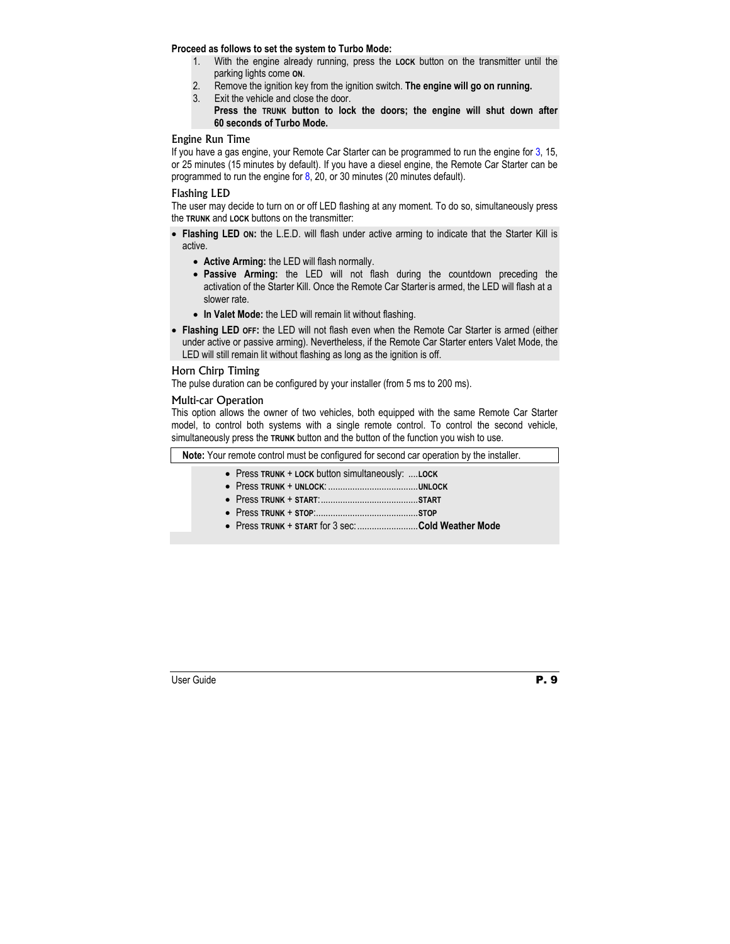#### **Proceed as follows to set the system to Turbo Mode:**

- 1. With the engine already running, press the **LOCK** button on the transmitter until the parking lights come **ON**.
- 2. Remove the ignition key from the ignition switch. **The engine will go on running.**
- 3. Exit the vehicle and close the door.
	- **Press the TRUNK button to lock the doors; the engine will shut down after 60 seconds of Turbo Mode.**

#### Engine Run Time

If you have a gas engine, your Remote Car Starter can be programmed to run the engine for 3, 15, or 25 minutes (15 minutes by default). If you have a diesel engine, the Remote Car Starter can be programmed to run the engine for  $8$ , 20, or 30 minutes (20 minutes default).

#### Flashing LED

The user may decide to turn on or off LED flashing at any moment. To do so, simultaneously press the **TRUNK** and **LOCK** buttons on the transmitter:

- **Flashing LED ON:** the L.E.D. will flash under active arming to indicate that the Starter Kill is active.
	- **Active Arming:** the LED will flash normally.
	- **Passive Arming:** the LED will not flash during the countdown preceding the activation of the Starter Kill. Once the Remote Car Starter is armed, the LED will flash at a slower rate.
	- **In Valet Mode:** the LED will remain lit without flashing.
- **Flashing LED OFF:** the LED will not flash even when the Remote Car Starter is armed (either under active or passive arming). Nevertheless, if the Remote Car Starter enters Valet Mode, the LED will still remain lit without flashing as long as the ignition is off.

#### Horn Chirp Timing

The pulse duration can be configured by your installer (from 5 ms to 200 ms).

#### Multi-car Operation

This option allows the owner of two vehicles, both equipped with the same Remote Car Starter model, to control both systems with a single remote control. To control the second vehicle, simultaneously press the **TRUNK** button and the button of the function you wish to use.

**Note:** Your remote control must be configured for second car operation by the installer.

- Press **TRUNK** + **LOCK** button simultaneously: ....**LOCK**
- Press **TRUNK** + **UNLOCK**: .....................................**UNLOCK**
- Press **TRUNK** + **START**:........................................**START**
- Press **TRUNK** + **STOP**:..........................................**STOP**
- Press **TRUNK** + **START** for 3 sec:.........................**Cold Weather Mode**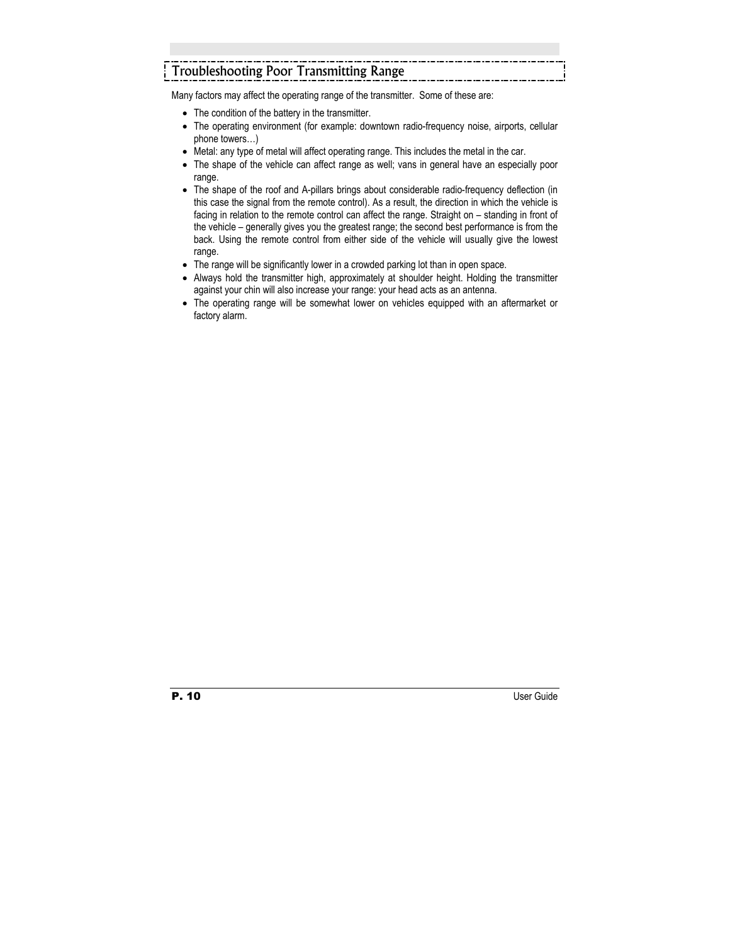# Troubleshooting Poor Transmitting Range

Many factors may affect the operating range of the transmitter. Some of these are:

- The condition of the battery in the transmitter.
- The operating environment (for example: downtown radio-frequency noise, airports, cellular phone towers…)
- Metal: any type of metal will affect operating range. This includes the metal in the car.
- The shape of the vehicle can affect range as well; vans in general have an especially poor range.
- The shape of the roof and A-pillars brings about considerable radio-frequency deflection (in this case the signal from the remote control). As a result, the direction in which the vehicle is facing in relation to the remote control can affect the range. Straight on – standing in front of the vehicle – generally gives you the greatest range; the second best performance is from the back. Using the remote control from either side of the vehicle will usually give the lowest range.
- The range will be significantly lower in a crowded parking lot than in open space.
- Always hold the transmitter high, approximately at shoulder height. Holding the transmitter against your chin will also increase your range: your head acts as an antenna.
- The operating range will be somewhat lower on vehicles equipped with an aftermarket or factory alarm.